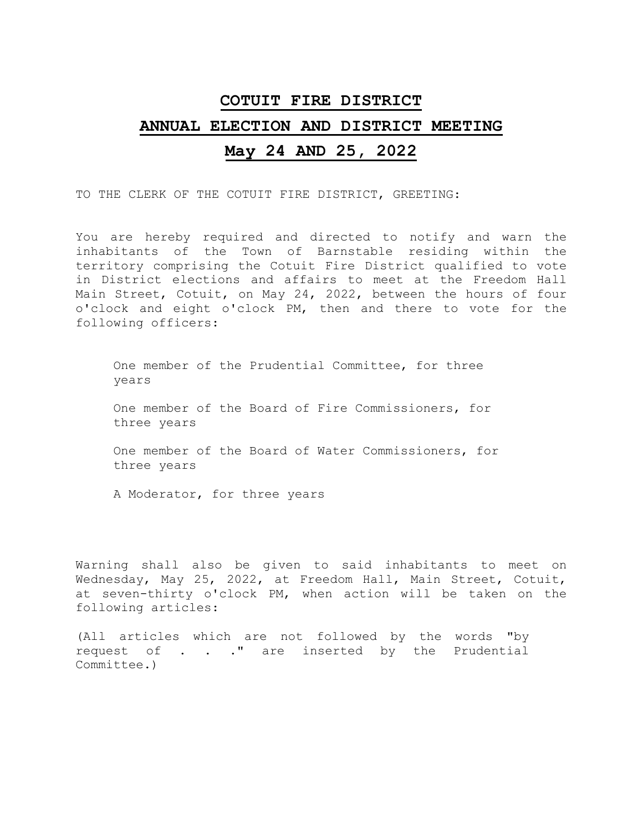## **COTUIT FIRE DISTRICT**

## **ANNUAL ELECTION AND DISTRICT MEETING**

## **May 24 AND 25, 2022**

TO THE CLERK OF THE COTUIT FIRE DISTRICT, GREETING:

You are hereby required and directed to notify and warn the inhabitants of the Town of Barnstable residing within the territory comprising the Cotuit Fire District qualified to vote in District elections and affairs to meet at the Freedom Hall Main Street, Cotuit, on May 24, 2022, between the hours of four o'clock and eight o'clock PM, then and there to vote for the following officers:

One member of the Prudential Committee, for three years

One member of the Board of Fire Commissioners, for three years

One member of the Board of Water Commissioners, for three years

A Moderator, for three years

Warning shall also be given to said inhabitants to meet on Wednesday, May 25, 2022, at Freedom Hall, Main Street, Cotuit, at seven-thirty o'clock PM, when action will be taken on the following articles:

(All articles which are not followed by the words "by request of . . ." are inserted by the Prudential Committee.)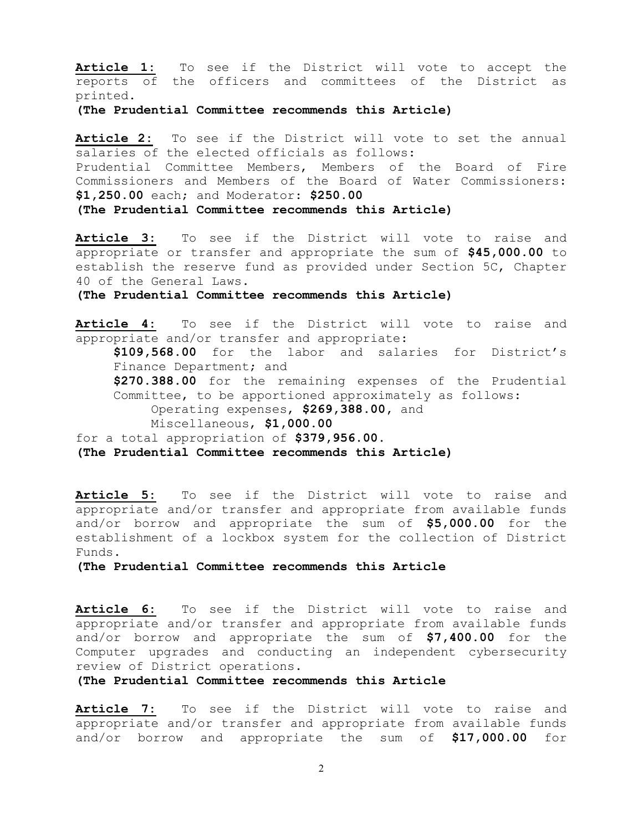**Article 1:** To see if the District will vote to accept the reports of the officers and committees of the District as printed.

**(The Prudential Committee recommends this Article)** 

Article 2: To see if the District will vote to set the annual salaries of the elected officials as follows: Prudential Committee Members, Members of the Board of Fire Commissioners and Members of the Board of Water Commissioners: **\$1,250.00** each; and Moderator: **\$250.00 (The Prudential Committee recommends this Article)** 

**Article 3:** To see if the District will vote to raise and appropriate or transfer and appropriate the sum of **\$45,000**.**00** to establish the reserve fund as provided under Section 5C, Chapter 40 of the General Laws.

**(The Prudential Committee recommends this Article)** 

**Article 4:** To see if the District will vote to raise and appropriate and/or transfer and appropriate:

**\$109,568.00** for the labor and salaries for District's Finance Department; and **\$270.388.00** for the remaining expenses of the Prudential

Committee, to be apportioned approximately as follows: Operating expenses, **\$269,388.00,** and

Miscellaneous, **\$1,000.00** 

for a total appropriation of **\$379,956.00.** 

**(The Prudential Committee recommends this Article)** 

**Article 5:** To see if the District will vote to raise and appropriate and/or transfer and appropriate from available funds and/or borrow and appropriate the sum of **\$5,000.00** for the establishment of a lockbox system for the collection of District Funds.

**(The Prudential Committee recommends this Article**

**Article 6:** To see if the District will vote to raise and appropriate and/or transfer and appropriate from available funds and/or borrow and appropriate the sum of **\$7,400.00** for the Computer upgrades and conducting an independent cybersecurity review of District operations.

**(The Prudential Committee recommends this Article**

Article 7: To see if the District will vote to raise and appropriate and/or transfer and appropriate from available funds and/or borrow and appropriate the sum of **\$17,000.00** for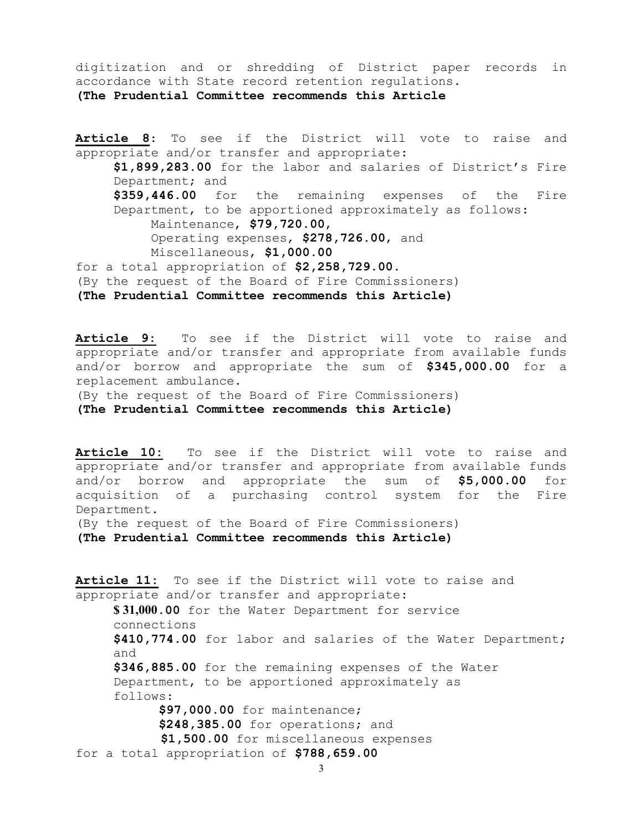digitization and or shredding of District paper records in accordance with State record retention regulations. **(The Prudential Committee recommends this Article**

**Article 8**: To see if the District will vote to raise and appropriate and/or transfer and appropriate: **\$1,899,283.00** for the labor and salaries of District's Fire Department; and **\$359,446.00** for the remaining expenses of the Fire Department, to be apportioned approximately as follows: Maintenance, **\$79,720**.**00**, Operating expenses, **\$278,726**.**00**, and Miscellaneous, **\$1,000.00** for a total appropriation of **\$2,258,729.00**. (By the request of the Board of Fire Commissioners) **(The Prudential Committee recommends this Article)** 

**Article 9:** To see if the District will vote to raise and appropriate and/or transfer and appropriate from available funds and/or borrow and appropriate the sum of **\$345,000.00** for a replacement ambulance.

(By the request of the Board of Fire Commissioners) **(The Prudential Committee recommends this Article)** 

**Article 10:** To see if the District will vote to raise and appropriate and/or transfer and appropriate from available funds and/or borrow and appropriate the sum of **\$5,000.00** for acquisition of a purchasing control system for the Fire Department.

(By the request of the Board of Fire Commissioners)

**(The Prudential Committee recommends this Article)** 

Article 11: To see if the District will vote to raise and appropriate and/or transfer and appropriate: **\$ 31,000.00** for the Water Department for service connections **\$410,774.00** for labor and salaries of the Water Department; and **\$346,885.00** for the remaining expenses of the Water Department, to be apportioned approximately as follows: **\$97,000.00** for maintenance;  **\$248,385.00** for operations; and **\$1,500.00** for miscellaneous expenses for a total appropriation of **\$788,659.00**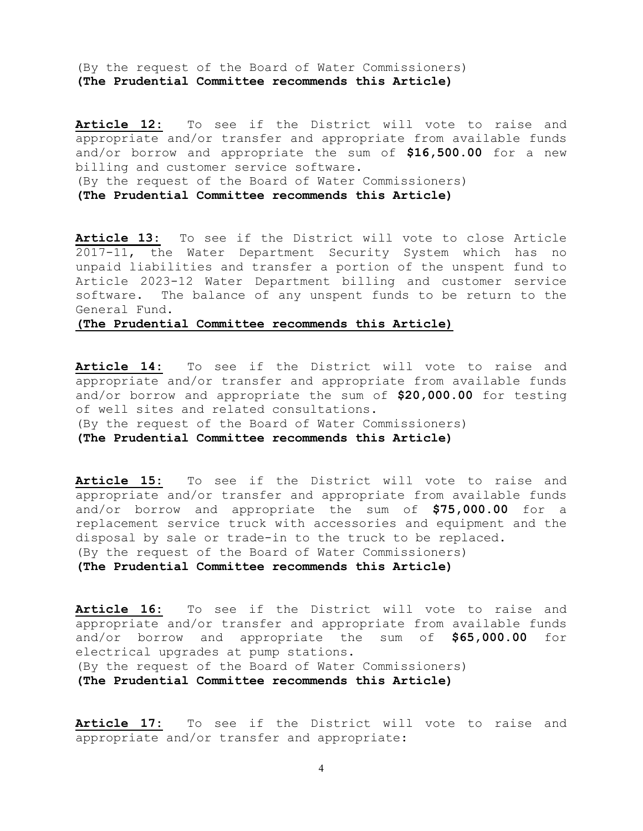(By the request of the Board of Water Commissioners) **(The Prudential Committee recommends this Article)** 

**Article 12:** To see if the District will vote to raise and appropriate and/or transfer and appropriate from available funds and/or borrow and appropriate the sum of **\$16,500.00** for a new billing and customer service software. (By the request of the Board of Water Commissioners) **(The Prudential Committee recommends this Article)** 

**Article 13:** To see if the District will vote to close Article 2017-11, the Water Department Security System which has no unpaid liabilities and transfer a portion of the unspent fund to Article 2023-12 Water Department billing and customer service software. The balance of any unspent funds to be return to the General Fund.

## **(The Prudential Committee recommends this Article)**

**Article 14:** To see if the District will vote to raise and appropriate and/or transfer and appropriate from available funds and/or borrow and appropriate the sum of **\$20,000.00** for testing of well sites and related consultations.

(By the request of the Board of Water Commissioners)

**(The Prudential Committee recommends this Article)** 

**Article 15:** To see if the District will vote to raise and appropriate and/or transfer and appropriate from available funds and/or borrow and appropriate the sum of **\$75,000.00** for a replacement service truck with accessories and equipment and the disposal by sale or trade-in to the truck to be replaced. (By the request of the Board of Water Commissioners)

**(The Prudential Committee recommends this Article)** 

**Article 16:** To see if the District will vote to raise and appropriate and/or transfer and appropriate from available funds and/or borrow and appropriate the sum of **\$65,000.00** for electrical upgrades at pump stations. (By the request of the Board of Water Commissioners) **(The Prudential Committee recommends this Article)** 

**Article 17:** To see if the District will vote to raise and appropriate and/or transfer and appropriate: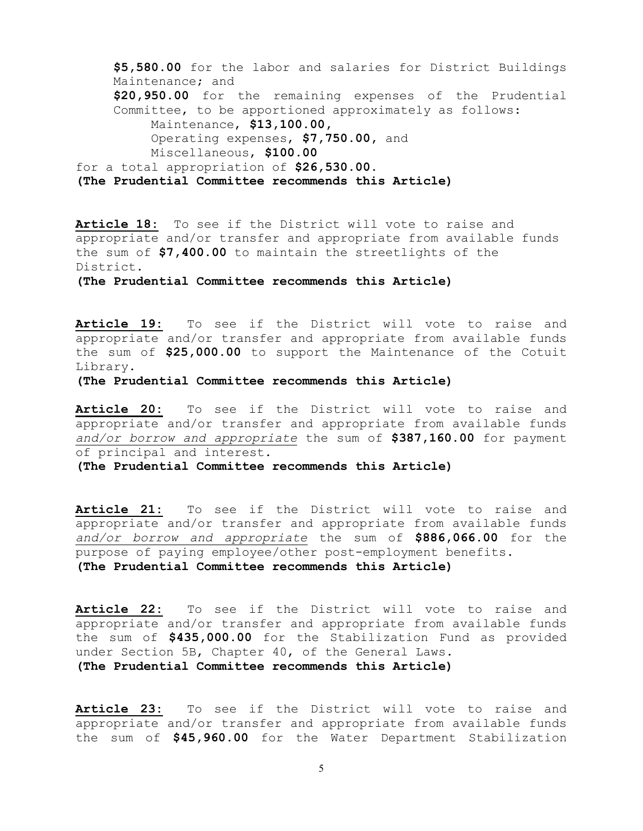```
$5,580.00 for the labor and salaries for District Buildings 
    Maintenance; and 
     $20,950.00 for the remaining expenses of the Prudential 
    Committee, to be apportioned approximately as follows:
         Maintenance, $13,100.00,
         Operating expenses, $7,750.00, and 
         Miscellaneous, $100.00 
for a total appropriation of $26,530.00. 
(The Prudential Committee recommends this Article)
```
**Article 18:** To see if the District will vote to raise and appropriate and/or transfer and appropriate from available funds the sum of **\$7,400.00** to maintain the streetlights of the District.

**(The Prudential Committee recommends this Article)** 

**Article 19:** To see if the District will vote to raise and appropriate and/or transfer and appropriate from available funds the sum of **\$25,000.00** to support the Maintenance of the Cotuit Library.

**(The Prudential Committee recommends this Article)** 

**Article 20:** To see if the District will vote to raise and appropriate and/or transfer and appropriate from available funds *and/or borrow and appropriate* the sum of **\$387,160.00** for payment of principal and interest.

**(The Prudential Committee recommends this Article)** 

**Article 21:** To see if the District will vote to raise and appropriate and/or transfer and appropriate from available funds *and/or borrow and appropriate* the sum of **\$886,066.00** for the purpose of paying employee/other post-employment benefits. **(The Prudential Committee recommends this Article)** 

**Article 22:** To see if the District will vote to raise and appropriate and/or transfer and appropriate from available funds the sum of **\$435,000.00** for the Stabilization Fund as provided under Section 5B, Chapter 40, of the General Laws. **(The Prudential Committee recommends this Article)** 

**Article 23:** To see if the District will vote to raise and appropriate and/or transfer and appropriate from available funds the sum of **\$45,960.00** for the Water Department Stabilization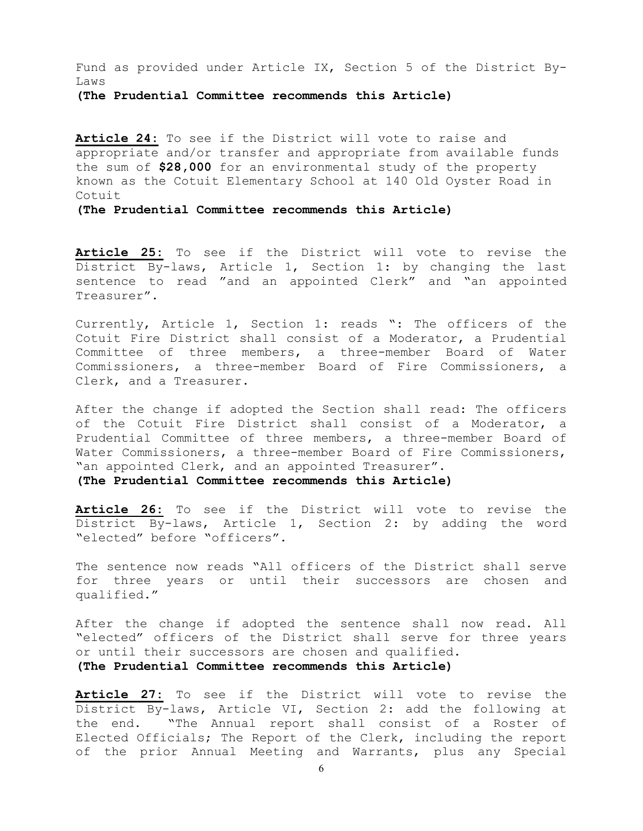Fund as provided under Article IX, Section 5 of the District By-Laws

**(The Prudential Committee recommends this Article)** 

**Article 24:** To see if the District will vote to raise and appropriate and/or transfer and appropriate from available funds the sum of **\$28,000** for an environmental study of the property known as the Cotuit Elementary School at 140 Old Oyster Road in Cotuit

**(The Prudential Committee recommends this Article)** 

**Article 25:** To see if the District will vote to revise the District By-laws, Article 1, Section 1: by changing the last sentence to read "and an appointed Clerk" and "an appointed Treasurer".

Currently, Article 1, Section 1: reads ": The officers of the Cotuit Fire District shall consist of a Moderator, a Prudential Committee of three members, a three-member Board of Water Commissioners, a three-member Board of Fire Commissioners, a Clerk, and a Treasurer.

After the change if adopted the Section shall read: The officers of the Cotuit Fire District shall consist of a Moderator, a Prudential Committee of three members, a three-member Board of Water Commissioners, a three-member Board of Fire Commissioners, "an appointed Clerk, and an appointed Treasurer".

**(The Prudential Committee recommends this Article)** 

**Article 26:** To see if the District will vote to revise the District By-laws, Article 1, Section 2: by adding the word "elected" before "officers".

The sentence now reads "All officers of the District shall serve for three years or until their successors are chosen and qualified."

After the change if adopted the sentence shall now read. All "elected" officers of the District shall serve for three years or until their successors are chosen and qualified. **(The Prudential Committee recommends this Article)** 

**Article 27:** To see if the District will vote to revise the District By-laws, Article VI, Section 2: add the following at the end. "The Annual report shall consist of a Roster of Elected Officials; The Report of the Clerk, including the report of the prior Annual Meeting and Warrants, plus any Special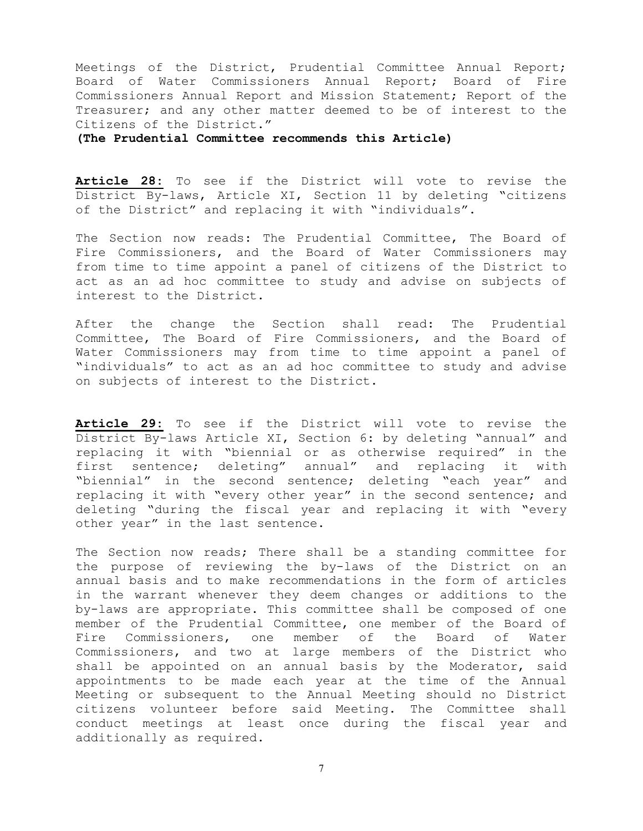Meetings of the District, Prudential Committee Annual Report; Board of Water Commissioners Annual Report; Board of Fire Commissioners Annual Report and Mission Statement; Report of the Treasurer; and any other matter deemed to be of interest to the Citizens of the District."

**(The Prudential Committee recommends this Article)** 

**Article 28:** To see if the District will vote to revise the District By-laws, Article XI, Section 11 by deleting "citizens of the District" and replacing it with "individuals".

The Section now reads: The Prudential Committee, The Board of Fire Commissioners, and the Board of Water Commissioners may from time to time appoint a panel of citizens of the District to act as an ad hoc committee to study and advise on subjects of interest to the District.

After the change the Section shall read: The Prudential Committee, The Board of Fire Commissioners, and the Board of Water Commissioners may from time to time appoint a panel of "individuals" to act as an ad hoc committee to study and advise on subjects of interest to the District.

**Article 29:** To see if the District will vote to revise the District By-laws Article XI, Section 6: by deleting "annual" and replacing it with "biennial or as otherwise required" in the first sentence; deleting" annual" and replacing it with "biennial" in the second sentence; deleting "each year" and replacing it with "every other year" in the second sentence; and deleting "during the fiscal year and replacing it with "every other year" in the last sentence.

The Section now reads; There shall be a standing committee for the purpose of reviewing the by-laws of the District on an annual basis and to make recommendations in the form of articles in the warrant whenever they deem changes or additions to the by-laws are appropriate. This committee shall be composed of one member of the Prudential Committee, one member of the Board of Fire Commissioners, one member of the Board of Water Commissioners, and two at large members of the District who shall be appointed on an annual basis by the Moderator, said appointments to be made each year at the time of the Annual Meeting or subsequent to the Annual Meeting should no District citizens volunteer before said Meeting. The Committee shall conduct meetings at least once during the fiscal year and additionally as required.